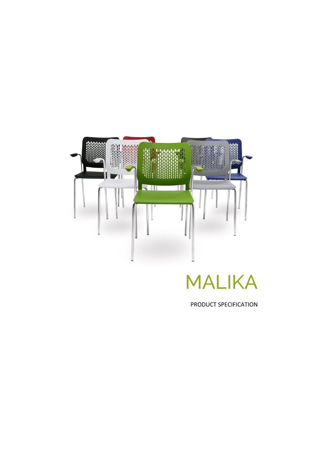

## MALIKA

PRODUCT SPECIFICATION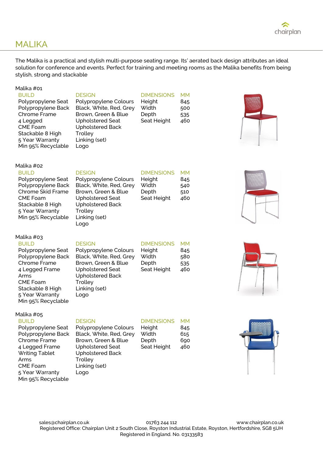

## MALIKA

The Malika is a practical and stylish multi-purpose seating range. Its' aerated back design attributes an ideal solution for conference and events. Perfect for training and meeting rooms as the Malika benefits from being stylish, strong and stackable

| Malika #01<br><b>BUILD</b><br>Polypropylene Seat<br>Polypropylene Back<br>Chrome Frame<br>4 Legged<br><b>CME Foam</b><br>Stackable 8 High<br>5 Year Warranty<br>Min 95% Recyclable                    | <b>DESIGN</b><br>Polypropylene Colours<br>Black, White, Red, Grey<br>Brown, Green & Blue<br><b>Upholstered Seat</b><br><b>Upholstered Back</b><br>Trolley<br>Linking (set)<br>Logo | <b>DIMENSIONS</b><br>Height<br>Width<br>Depth<br>Seat Height | <b>MM</b><br>845<br>500<br>535<br>460 |  |
|-------------------------------------------------------------------------------------------------------------------------------------------------------------------------------------------------------|------------------------------------------------------------------------------------------------------------------------------------------------------------------------------------|--------------------------------------------------------------|---------------------------------------|--|
| Malika #02<br><b>BUILD</b><br>Polypropylene Seat<br>Polypropylene Back<br>Chrome Skid Frame<br><b>CME Foam</b><br>Stackable 8 High<br>5 Year Warranty<br>Min 95% Recyclable                           | <b>DESIGN</b><br>Polypropylene Colours<br>Black, White, Red, Grey<br>Brown, Green & Blue<br><b>Upholstered Seat</b><br><b>Upholstered Back</b><br>Trolley<br>Linking (set)<br>Logo | <b>DIMENSIONS</b><br>Height<br>Width<br>Depth<br>Seat Height | <b>MM</b><br>845<br>540<br>510<br>460 |  |
| Malika #03<br><b>BUILD</b><br>Polypropylene Seat<br>Polypropylene Back<br>Chrome Frame<br>4 Legged Frame<br>Arms<br><b>CME Foam</b><br>Stackable 8 High<br>5 Year Warranty<br>Min 95% Recyclable      | <b>DESIGN</b><br>Polypropylene Colours<br>Black, White, Red, Grey<br>Brown, Green & Blue<br><b>Upholstered Seat</b><br><b>Upholstered Back</b><br>Trolley<br>Linking (set)<br>Logo | <b>DIMENSIONS</b><br>Height<br>Width<br>Depth<br>Seat Height | <b>MM</b><br>845<br>580<br>535<br>460 |  |
| Malika #05<br><b>BUILD</b><br>Polypropylene Seat<br>Polypropylene Back<br>Chrome Frame<br>4 Legged Frame<br><b>Writing Tablet</b><br>Arms<br><b>CME Foam</b><br>5 Year Warranty<br>Min 95% Recyclable | <b>DESIGN</b><br>Polypropylene Colours<br>Black, White, Red, Grey<br>Brown, Green & Blue<br><b>Upholstered Seat</b><br><b>Upholstered Back</b><br>Trolley<br>Linking (set)<br>Logo | <b>DIMENSIONS</b><br>Height<br>Width<br>Depth<br>Seat Height | <b>MM</b><br>845<br>615<br>690<br>460 |  |